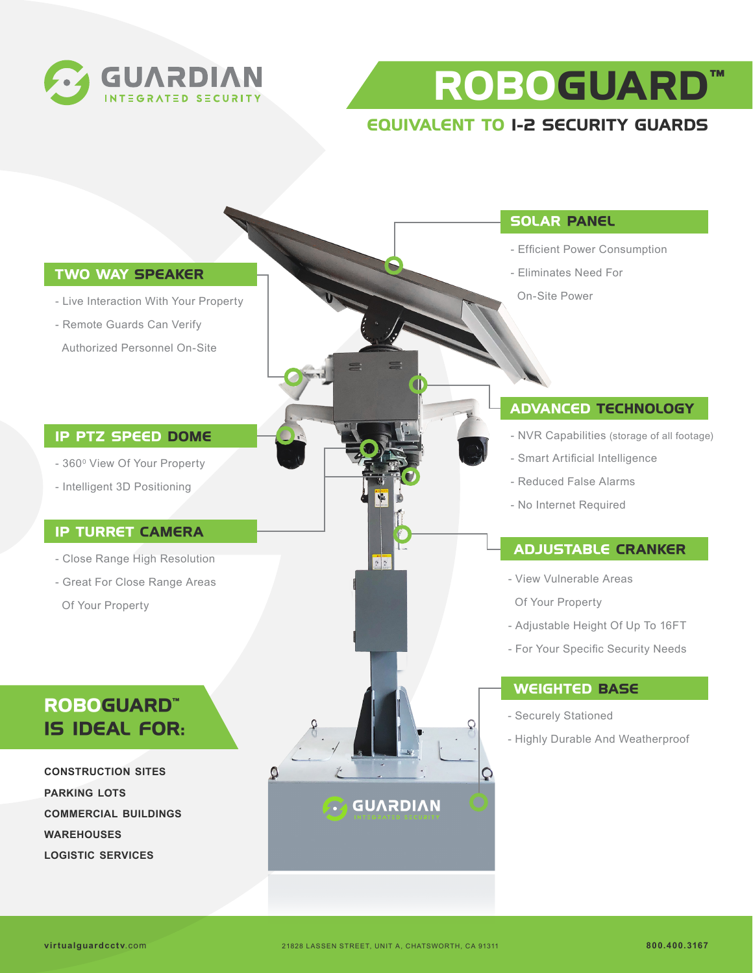

**ROBOGUARD™**

## **EQUIVALENT TO 1-2 SECURITY GUARDS**